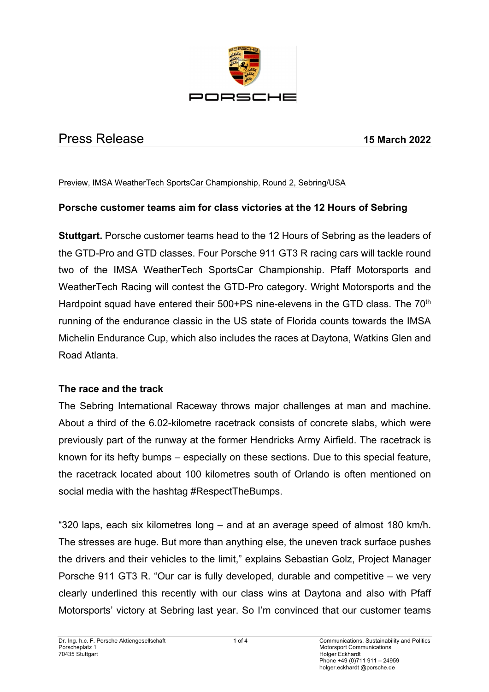

# Press Release **15 March 2022**

#### Preview, IMSA WeatherTech SportsCar Championship, Round 2, Sebring/USA

#### **Porsche customer teams aim for class victories at the 12 Hours of Sebring**

**Stuttgart.** Porsche customer teams head to the 12 Hours of Sebring as the leaders of the GTD-Pro and GTD classes. Four Porsche 911 GT3 R racing cars will tackle round two of the IMSA WeatherTech SportsCar Championship. Pfaff Motorsports and WeatherTech Racing will contest the GTD-Pro category. Wright Motorsports and the Hardpoint squad have entered their 500+PS nine-elevens in the GTD class. The 70<sup>th</sup> running of the endurance classic in the US state of Florida counts towards the IMSA Michelin Endurance Cup, which also includes the races at Daytona, Watkins Glen and Road Atlanta.

#### **The race and the track**

The Sebring International Raceway throws major challenges at man and machine. About a third of the 6.02-kilometre racetrack consists of concrete slabs, which were previously part of the runway at the former Hendricks Army Airfield. The racetrack is known for its hefty bumps – especially on these sections. Due to this special feature, the racetrack located about 100 kilometres south of Orlando is often mentioned on social media with the hashtag #RespectTheBumps.

"320 laps, each six kilometres long – and at an average speed of almost 180 km/h. The stresses are huge. But more than anything else, the uneven track surface pushes the drivers and their vehicles to the limit," explains Sebastian Golz, Project Manager Porsche 911 GT3 R. "Our car is fully developed, durable and competitive – we very clearly underlined this recently with our class wins at Daytona and also with Pfaff Motorsports' victory at Sebring last year. So I'm convinced that our customer teams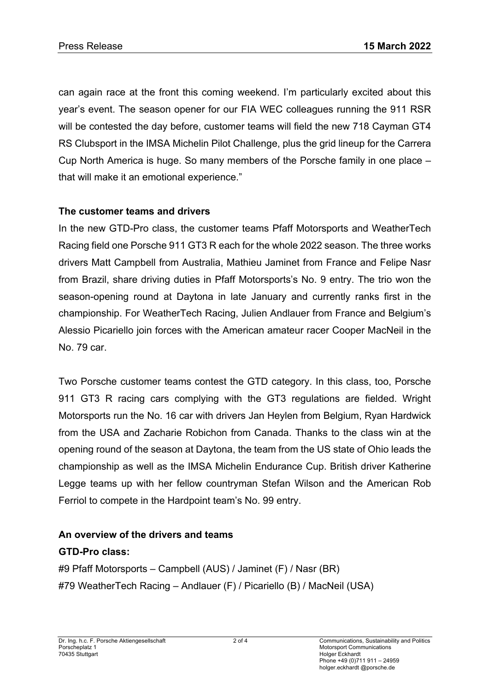can again race at the front this coming weekend. I'm particularly excited about this year's event. The season opener for our FIA WEC colleagues running the 911 RSR will be contested the day before, customer teams will field the new 718 Cayman GT4 RS Clubsport in the IMSA Michelin Pilot Challenge, plus the grid lineup for the Carrera Cup North America is huge. So many members of the Porsche family in one place – that will make it an emotional experience."

### **The customer teams and drivers**

In the new GTD-Pro class, the customer teams Pfaff Motorsports and WeatherTech Racing field one Porsche 911 GT3 R each for the whole 2022 season. The three works drivers Matt Campbell from Australia, Mathieu Jaminet from France and Felipe Nasr from Brazil, share driving duties in Pfaff Motorsports's No. 9 entry. The trio won the season-opening round at Daytona in late January and currently ranks first in the championship. For WeatherTech Racing, Julien Andlauer from France and Belgium's Alessio Picariello join forces with the American amateur racer Cooper MacNeil in the No. 79 car.

Two Porsche customer teams contest the GTD category. In this class, too, Porsche 911 GT3 R racing cars complying with the GT3 regulations are fielded. Wright Motorsports run the No. 16 car with drivers Jan Heylen from Belgium, Ryan Hardwick from the USA and Zacharie Robichon from Canada. Thanks to the class win at the opening round of the season at Daytona, the team from the US state of Ohio leads the championship as well as the IMSA Michelin Endurance Cup. British driver Katherine Legge teams up with her fellow countryman Stefan Wilson and the American Rob Ferriol to compete in the Hardpoint team's No. 99 entry.

### **An overview of the drivers and teams**

### **GTD-Pro class:**

#9 Pfaff Motorsports – Campbell (AUS) / Jaminet (F) / Nasr (BR) #79 WeatherTech Racing – Andlauer (F) / Picariello (B) / MacNeil (USA)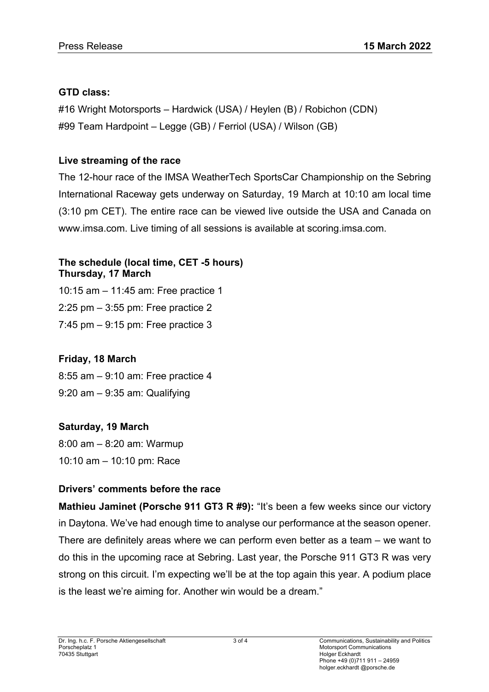# **GTD class:**

#16 Wright Motorsports – Hardwick (USA) / Heylen (B) / Robichon (CDN) #99 Team Hardpoint – Legge (GB) / Ferriol (USA) / Wilson (GB)

# **Live streaming of the race**

The 12-hour race of the IMSA WeatherTech SportsCar Championship on the Sebring International Raceway gets underway on Saturday, 19 March at 10:10 am local time (3:10 pm CET). The entire race can be viewed live outside the USA and Canada on www.imsa.com. Live timing of all sessions is available at scoring.imsa.com.

#### **The schedule (local time, CET -5 hours) Thursday, 17 March**

10:15 am – 11:45 am: Free practice 1 2:25 pm – 3:55 pm: Free practice 2 7:45 pm – 9:15 pm: Free practice 3

# **Friday, 18 March**

8:55 am – 9:10 am: Free practice 4 9:20 am – 9:35 am: Qualifying

# **Saturday, 19 March**

8:00 am – 8:20 am: Warmup 10:10 am – 10:10 pm: Race

# **Drivers' comments before the race**

**Mathieu Jaminet (Porsche 911 GT3 R #9):** "It's been a few weeks since our victory in Daytona. We've had enough time to analyse our performance at the season opener. There are definitely areas where we can perform even better as a team – we want to do this in the upcoming race at Sebring. Last year, the Porsche 911 GT3 R was very strong on this circuit. I'm expecting we'll be at the top again this year. A podium place is the least we're aiming for. Another win would be a dream."